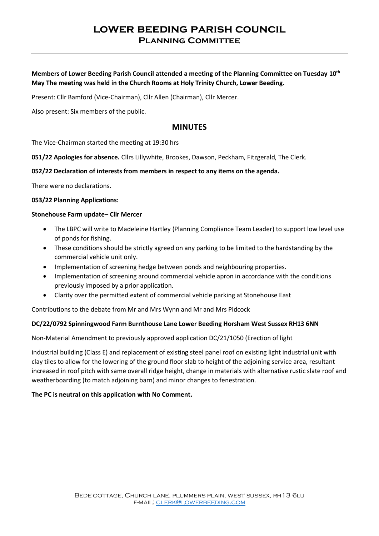# **lower beeding parish council Planning Committee**

**Members of Lower Beeding Parish Council attended a meeting of the Planning Committee on Tuesday 10th May The meeting was held in the Church Rooms at Holy Trinity Church, Lower Beeding.**

Present: Cllr Bamford (Vice-Chairman), Cllr Allen (Chairman), Cllr Mercer.

Also present: Six members of the public.

# **MINUTES**

The Vice-Chairman started the meeting at 19:30 hrs

**051/22 Apologies for absence.** Cllrs Lillywhite, Brookes, Dawson, Peckham, Fitzgerald, The Clerk.

## **052/22 Declaration of interests from members in respect to any items on the agenda.**

There were no declarations.

#### **053/22 Planning Applications:**

## **Stonehouse Farm update– Cllr Mercer**

- The LBPC will write to Madeleine Hartley (Planning Compliance Team Leader) to support low level use of ponds for fishing.
- These conditions should be strictly agreed on any parking to be limited to the hardstanding by the commercial vehicle unit only.
- Implementation of screening hedge between ponds and neighbouring properties.
- Implementation of screening around commercial vehicle apron in accordance with the conditions previously imposed by a prior application.
- Clarity over the permitted extent of commercial vehicle parking at Stonehouse East

Contributions to the debate from Mr and Mrs Wynn and Mr and Mrs Pidcock

#### **DC/22/0792 Spinningwood Farm Burnthouse Lane Lower Beeding Horsham West Sussex RH13 6NN**

Non-Material Amendment to previously approved application DC/21/1050 (Erection of light

industrial building (Class E) and replacement of existing steel panel roof on existing light industrial unit with clay tiles to allow for the lowering of the ground floor slab to height of the adjoining service area, resultant increased in roof pitch with same overall ridge height, change in materials with alternative rustic slate roof and weatherboarding (to match adjoining barn) and minor changes to fenestration.

#### **The PC is neutral on this application with No Comment.**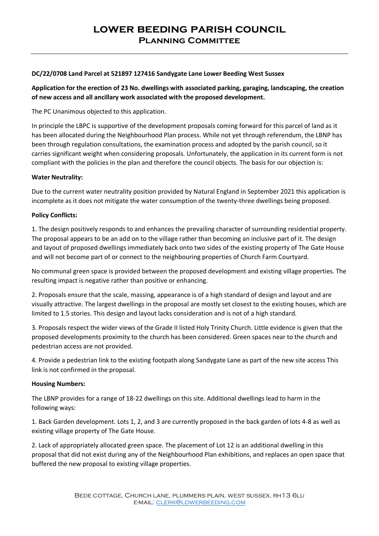# **lower beeding parish council Planning Committee**

## **DC/22/0708 Land Parcel at 521897 127416 Sandygate Lane Lower Beeding West Sussex**

**Application for the erection of 23 No. dwellings with associated parking, garaging, landscaping, the creation of new access and all ancillary work associated with the proposed development.**

## The PC Unanimous objected to this application.

In principle the LBPC is supportive of the development proposals coming forward for this parcel of land as it has been allocated during the Neighbourhood Plan process. While not yet through referendum, the LBNP has been through regulation consultations, the examination process and adopted by the parish council, so it carries significant weight when considering proposals. Unfortunately, the application in its current form is not compliant with the policies in the plan and therefore the council objects. The basis for our objection is:

## **Water Neutrality:**

Due to the current water neutrality position provided by Natural England in September 2021 this application is incomplete as it does not mitigate the water consumption of the twenty-three dwellings being proposed.

## **Policy Conflicts:**

1. The design positively responds to and enhances the prevailing character of surrounding residential property. The proposal appears to be an add on to the village rather than becoming an inclusive part of it. The design and layout of proposed dwellings immediately back onto two sides of the existing property of The Gate House and will not become part of or connect to the neighbouring properties of Church Farm Courtyard.

No communal green space is provided between the proposed development and existing village properties. The resulting impact is negative rather than positive or enhancing.

2. Proposals ensure that the scale, massing, appearance is of a high standard of design and layout and are visually attractive. The largest dwellings in the proposal are mostly set closest to the existing houses, which are limited to 1.5 stories. This design and layout lacks consideration and is not of a high standard.

3. Proposals respect the wider views of the Grade II listed Holy Trinity Church. Little evidence is given that the proposed developments proximity to the church has been considered. Green spaces near to the church and pedestrian access are not provided.

4. Provide a pedestrian link to the existing footpath along Sandygate Lane as part of the new site access This link is not confirmed in the proposal.

#### **Housing Numbers:**

The LBNP provides for a range of 18-22 dwellings on this site. Additional dwellings lead to harm in the following ways:

1. Back Garden development. Lots 1, 2, and 3 are currently proposed in the back garden of lots 4-8 as well as existing village property of The Gate House.

2. Lack of appropriately allocated green space. The placement of Lot 12 is an additional dwelling in this proposal that did not exist during any of the Neighbourhood Plan exhibitions, and replaces an open space that buffered the new proposal to existing village properties.